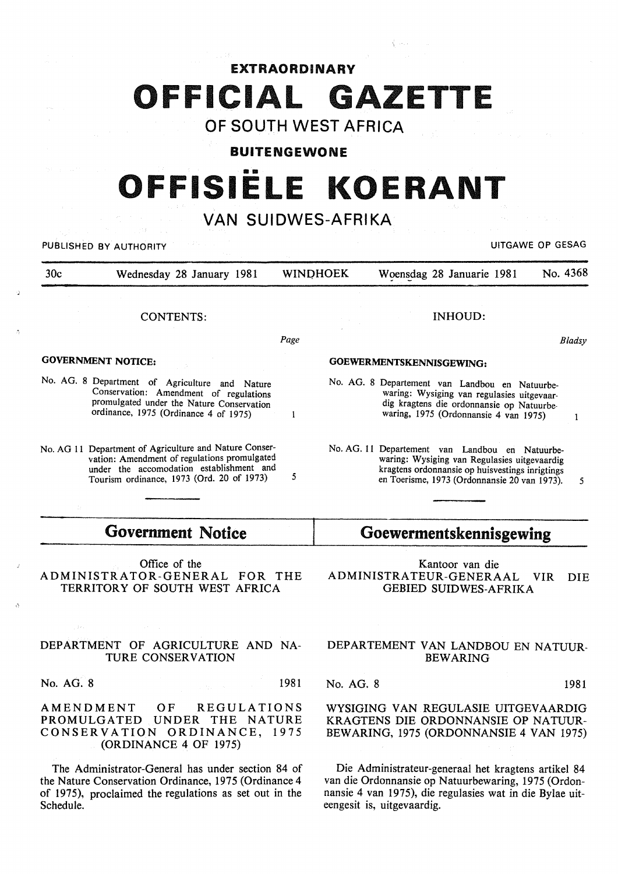## EXTRAORDINARY OFFICIAL GAZETTE

## OF SOUTH WEST AFRICA

#### BUITENGEWONE

# •• **OFFISIELE KOERANT**

## VAN SUIDWES-AFRIKA

| UITGAWE OP GESAG<br>PUBLISHED BY AUTHORITY |                                                                                                                                                                                                 |      |                 |                                                                                                                                                                                                    |          |
|--------------------------------------------|-------------------------------------------------------------------------------------------------------------------------------------------------------------------------------------------------|------|-----------------|----------------------------------------------------------------------------------------------------------------------------------------------------------------------------------------------------|----------|
| 30c                                        | Wednesday 28 January 1981                                                                                                                                                                       |      | <b>WINDHOEK</b> | Woensdag 28 Januarie 1981                                                                                                                                                                          | No. 4368 |
|                                            | <b>CONTENTS:</b>                                                                                                                                                                                |      |                 | <b>INHOUD:</b>                                                                                                                                                                                     |          |
|                                            |                                                                                                                                                                                                 | Page |                 |                                                                                                                                                                                                    | Bladsy   |
|                                            | <b>GOVERNMENT NOTICE:</b>                                                                                                                                                                       |      |                 | GOEWERMENTSKENNISGEWING:                                                                                                                                                                           |          |
|                                            | No. AG. 8 Department of Agriculture and Nature<br>Conservation: Amendment of regulations<br>promulgated under the Nature Conservation<br>ordinance, 1975 (Ordinance 4 of 1975)                  |      |                 | No. AG. 8 Departement van Landbou en Natuurbe-<br>waring: Wysiging van regulasies uitgevaar-<br>dig kragtens die ordonnansie op Natuurbe-<br>waring, 1975 (Ordonnansie 4 van 1975)                 |          |
|                                            | No. AG 11 Department of Agriculture and Nature Conser-<br>vation: Amendment of regulations promulgated<br>under the accomodation establishment and<br>Tourism ordinance, 1973 (Ord. 20 of 1973) | 5    |                 | No. AG. 11 Departement van Landbou en Natuurbe-<br>waring: Wysiging van Regulasies uitgevaardig<br>kragtens ordonnansie op huisvestings inrigtings<br>en Toerisme, 1973 (Ordonnansie 20 van 1973). | 5        |
|                                            |                                                                                                                                                                                                 |      |                 |                                                                                                                                                                                                    |          |

## Government Notice

Office of the ADMINISTRATOR-GENERAL FOR THE TERRITORY OF SOUTH WEST AFRICA

#### DEPARTMENT OF AGRICULTURE AND NA-TURE CONSERVATION

No. AG. 8 1981

AMENDMENT OF REGULATIONS PROMULGATED UNDER THE NATURE CONSERVATION ORDINANCE, 1975 (ORDINANCE 4 OF 1975)

The Administrator-General has under section 84 of the Nature Conservation Ordinance, 1975 (Ordinance 4 of 1975), proclaimed the regulations as set out in the Schedule.

## Goewermentskennisgewing

Kantoor van die ADMINISTRATEUR-GENERAAL VIR DIE GEBIED SUIDWES-AFRIKA

#### DEPARTEMENT VAN LANDBOU EN NATUUR-**BEWARING**

No. AG. 8 1981

#### WYSIGING VAN REGULASIE UITGEVAARDIG KRAGTENS DIE ORDONNANSIE OP NATUUR-BEW ARING, 1975 (ORDONNANSIE 4 VAN 1975)

Die Administrateur-generaal het kragtens artikel 84 van die Ordonnansie op Natuurbewaring, 1975 (Ordonnansie 4 van 1975), die regulasies wat in die Bylae uiteengesit is, uitgevaardig.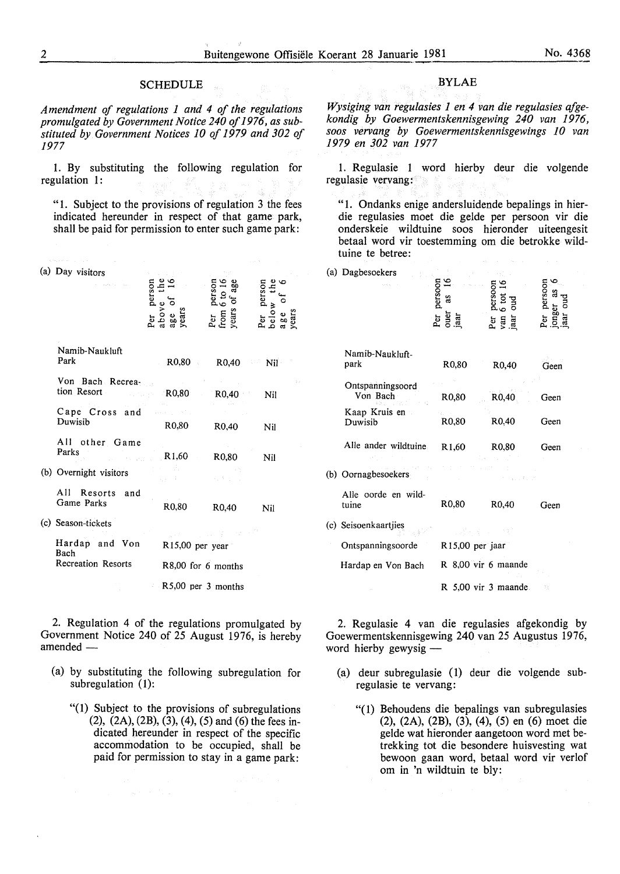#### **SCHEDULE**

*Amendment of regulations 1 and 4 of the regulations promulgated by Government Notice 240 of 1976, as substituted by Government Notices 10 of 1979 and 302 of 1977* 

1. By substituting the following regulation for regulation 1:

"1. Subject to the provisions of regulation 3 the fees indicated hereunder in respect of that game park, shall be paid for permission to enter such game park:

(a) Day visitors

|                                 | $er$ person<br>above the<br>$\cdot$ e of<br>years | person<br>6 to 16<br>5 of age<br>Per<br>from<br>years | ∾ ພ<br>$\frac{1}{2}$ person<br>9 Q |  |
|---------------------------------|---------------------------------------------------|-------------------------------------------------------|------------------------------------|--|
| Namib-Naukluft<br>Park          |                                                   | R0,80 R0,40                                           | $\sim$ Nil $\sim$                  |  |
| Von Bach Recrea-<br>tion Resort | R0,80                                             | R0,40                                                 | Nil                                |  |
| Cape Cross and<br>Duwisib       | R0,80                                             | R <sub>0</sub> ,40                                    | Nil                                |  |
| All other Game<br>Parks         | $R1,60$ $R0,80$                                   |                                                       | Nil                                |  |
| (b) Overnight visitors          |                                                   |                                                       |                                    |  |
| All Resorts and<br>Game Parks   | R0,80                                             | R0,40                                                 | Nil                                |  |
| (c) Season-tickets              |                                                   |                                                       |                                    |  |
| Hardap and Von<br>Bach          | $R15,00$ per year                                 |                                                       |                                    |  |
| Recreation Resorts              | R8,00 for 6 months                                |                                                       |                                    |  |
|                                 | R5,00 per 3 months                                |                                                       |                                    |  |

2. Regulation 4 of the regulations promulgated by Government Notice 240 of 25 August 1976, is hereby  $amended-$ 

- (a) by substituting the following subregulation for subregulation (1):
	- "(1) Subject to the provisions of subregulations (2), (2A), (2B), (3), (4), (5) and (6) the fees indicated hereunder in respect of the specific accommodation to be occupied, shall be paid for permission to stay in a game park:

#### BYLAE

*Wysiging van regulasies 1 en 4 van die regulasies qfgekondig by Goewermentskennisgewing 240 van 1976, soos vervang by Goewermentskennisgewings 10 van 1979 en 302 van 1977* 

1. Regulasie 1 word hierby deur die volgende regulasie vervang:

"1. Ondanks enige andersluidende bepalings in hierdie regulasies moet die gelde per persoon vir die onderskeie wildtuine soos hieronder uiteengesit betaal word vir toestemming om die betrokke wildtuine te betree:

| (a) Dagbesoekers             | Per persoon<br>ouer as 16<br>jaar | Per<br>van<br>Jaar     | persoon |
|------------------------------|-----------------------------------|------------------------|---------|
| Namib-Naukluft-<br>park      | R <sub>0</sub> ,80                | R <sub>0</sub> ,40     | Geen    |
| Ontspanningsoord<br>Von Bach | R0,80                             | R0,40                  | Geen    |
| Kaap Kruis en<br>Duwisib     | R <sub>0</sub> ,80                | R0,40                  | Geen    |
| Alle ander wildtuine.        | R <sub>1</sub> ,60                | R0,80                  | Geen    |
| (b) Oornagbesoekers          |                                   |                        |         |
| Alle oorde en wild-<br>tuine | R0,80                             | R <sub>0</sub> ,40     | Geen    |
| (c) Seisoenkaartjies         |                                   |                        |         |
| Ontspanningsoorde            | R <sub>15</sub> ,00 per jaar      |                        |         |
| Hardap en Von Bach           |                                   | R 8,00 vir 6 maande    |         |
|                              |                                   | $R$ 5.00 vir 3 maande. | R       |

2. Regulasie 4 van die regulasies afgekondig by Goewermentskennisgewing 240 van 25 Augustus 1976, word hierby gewysig  $-$ 

- (a) deur subregulasie (1) deur die volgende subregulasie te vervang:
	- "( 1) Behoudens die bepalings van subregulasies (2), (2A), (2B), (3), (4), (5) en (6) moet die gelde wat hieronder aangetoon word met betrekking tot die besondere huisvesting wat bewoon gaan word, betaal word vir verlof om in 'n wildtuin te bly: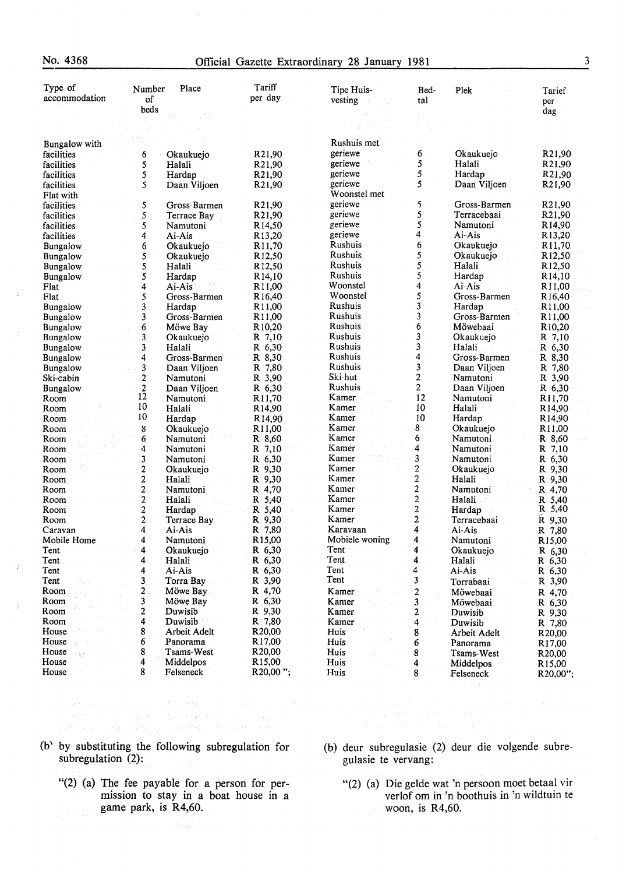#### No. 4368 Official Gazette Extraordinary 28 January 1981

| Type of               | Number                       | Place                    | Tariff                                    | Tipe Huis-                  | Bed-                    | Plek                     | Tarief                                   |
|-----------------------|------------------------------|--------------------------|-------------------------------------------|-----------------------------|-------------------------|--------------------------|------------------------------------------|
| accommodation         | of                           |                          | per day                                   | vesting                     | tal                     |                          | per                                      |
|                       | beds                         |                          |                                           |                             |                         |                          | dag                                      |
|                       |                              |                          |                                           |                             |                         |                          |                                          |
|                       |                              |                          |                                           |                             |                         |                          |                                          |
| Bungalow with         |                              |                          |                                           | Rushuis met                 |                         |                          |                                          |
| facilities            | 6                            | Okaukuejo                | R21,90                                    | geriewe                     | 6                       | Okaukuejo                | R21,90                                   |
| facilities            | 5<br>ŵ.                      | Halali                   | R21,90                                    | geriewe                     | 5                       | Halali                   | R21.90                                   |
| facilities            | 5                            | Hardap                   | R21,90                                    | geriewe                     | 5<br>5                  | Hardap                   | R21,90                                   |
| facilities            | 5                            | Daan Viljoen             | R21,90                                    | geriewe<br>Woonstel met     |                         | Daan Viljoen             | R <sub>21,90</sub>                       |
| Flat with             |                              |                          |                                           | geriewe                     | 5                       | Gross-Barmen             |                                          |
| facilities            | 5                            | Gross-Barmen             | R21,90                                    | geriewe                     | 5                       | Terracebaai              | R21,90                                   |
| facilities            | 5<br>5                       | Terrace Bay              | R21,90                                    | geriewe                     | 5                       | Namutoni                 | R21,90<br>R <sub>14,90</sub>             |
| facilities            |                              | Namutoni                 | R <sub>14,50</sub>                        | geriewe                     | 4                       | Ai-Ais                   | R13,20                                   |
| facilities            | 4                            | Ai-Ais                   | R13,20                                    | Rushuis                     | 6                       | Okaukuejo                |                                          |
| <b>Bungalow</b>       | 6                            | Okaukuejo                | R <sub>11,70</sub>                        | Rushuis                     | 5                       |                          | R <sub>11,70</sub><br>R12,50             |
| Bungalow              | 5<br>5                       | Okaukuejo<br>Halali      | R <sub>12,50</sub>                        | Rushuis                     | 5                       | Okaukuejo<br>Halali      | R12,50                                   |
| Bungalow              |                              |                          | R <sub>12</sub> ,50                       | Rushuis                     | 5                       |                          | R <sub>14</sub> ,10                      |
| <b>Bungalow</b>       | 5                            | Hardap                   | R <sub>14</sub> ,10                       | Woonstel                    | 4                       | Hardap<br>Ai-Ais         |                                          |
| Flat<br>Flat          | 4                            | Ai-Ais                   | R <sub>11,00</sub><br>R <sub>16</sub> ,40 | Woonstel                    | 5                       | Gross-Barmen             | R <sub>11,00</sub>                       |
|                       | 5<br>$\mathbf{3}$            | Gross-Barmen<br>Hardap   |                                           | Rushuis                     | $\overline{\mathbf{3}}$ | Hardap                   | R <sub>16</sub> ,40<br>R11,00            |
| Bungalow              | 3                            |                          | R11,00                                    | Rushuis                     | 3                       | Gross-Barmen             |                                          |
| Bungalow              | 6                            | Gross-Barmen<br>Möwe Bay | R <sub>11,00</sub><br>R <sub>10,20</sub>  | Rushuis                     | 6                       | Möwebaai                 | R11,00<br>R <sub>10</sub> ,20            |
| Bungalow              | 3                            | Okaukuejo                | R 7,10                                    | Rushuis                     | 3                       |                          |                                          |
| Bungalow              | 3                            | Halali                   | R 6,30                                    | Rushuis                     | 3                       | Okaukuejo<br>Halali      | R 7,10                                   |
| Bungalow              | $\overline{\bf 4}$           | Gross-Barmen             | R 8,30                                    | Rushuis                     | 4                       | Gross-Barmen             | R 6,30                                   |
| Bungalow              |                              |                          | R 7,80                                    | Rushuis                     | 3                       |                          | $R_{8,30}$                               |
| Bungalow<br>Ski-cabin | 3<br>$\overline{\mathbf{c}}$ | Daan Viljoen<br>Namutoni | R 3,90                                    | Ski-hut                     | $\overline{c}$          | Daan Viljoen<br>Namutoni | R 7,80<br>R 3,90                         |
|                       | $\overline{\mathbf{c}}$      |                          | R 6,30                                    | Rushuis                     | $\overline{2}$          | Daan Viljoen             | R 6,30                                   |
| <b>Bungalow</b>       | 12                           | Daan Viljoen<br>Namutoni |                                           | Kamer                       | 12                      | Namutoni                 |                                          |
| Room<br>Room          | $10\,$                       | Halali                   | R <sub>11,70</sub><br>R <sub>14,90</sub>  | Kamer                       | 10                      | Halali                   | R <sub>11,70</sub><br>R <sub>14,90</sub> |
| Room                  | 10                           | Hardap                   | R <sub>14,90</sub>                        | Kamer                       | 10                      | Hardap                   | R14,90                                   |
| Room                  | ${\bf 8}$                    | Okaukuejo                | R <sub>11,00</sub>                        | Kamer                       | 8                       | Okaukuejo                | R <sub>11</sub> ,00                      |
| Room                  | 6                            | Namutoni                 | R 8.60                                    | Kamer                       | 6                       | Namutoni                 | R 8,60                                   |
| Room                  | 4                            | Namutoni                 | R 7,10                                    | Kamer                       | 4                       | Namutoni                 | R 7,10                                   |
| Room                  | 3                            | Namutoni                 | R 6,30                                    | Kamer                       | 3                       | Namutoni                 | R 6,30                                   |
| Room                  | $\overline{c}$               | Okaukuejo                | R 9,30                                    | Kamer                       | 2                       | Okaukuejo                | R 9,30                                   |
| Room                  | $\mathbf{2}$                 | Halali                   | R 9,30                                    | Kamer                       | 2                       | Halali                   | R 9,30                                   |
| Room                  | $\overline{c}$               | Namutoni                 | R 4,70                                    | Kamer                       | $\boldsymbol{2}$        | Namutoni                 | R 4,70                                   |
| Room                  | $\mathbf 2$                  | Halali                   | R 5,40                                    | Kamer                       | $\overline{\mathbf{c}}$ | Halali                   | R 5.40                                   |
| Room                  | $\boldsymbol{2}$             | Hardap                   | R 5,40                                    | Kamer                       | $\overline{\mathbf{c}}$ | Hardap                   | R 5,40                                   |
| Room                  | $\overline{2}$               | Terrace Bay              | R 9,30                                    | Kamer                       | 2                       | Terracebaai              | R 9,30                                   |
| Caravan               | $\overline{\mathbf{4}}$      | Ai-Ais                   | R 7,80                                    | Karavaan                    | 4                       | Ai-Ais                   | R 7,80                                   |
| Mobile Home           | 4                            | Namutoni                 | R <sub>15,00</sub>                        | Mobiele woning              | 4                       | Namutoni                 | R <sub>15,00</sub>                       |
| Tent                  | 4                            | Okaukuejo                | R 6,30                                    | Tent                        | 4                       | Okaukuejo                | R 6,30                                   |
| Tent                  | 4                            | Halali                   | R 6,30                                    | Tent                        | 4                       | Halali                   | R 6,30                                   |
| Tent                  | 4                            | Ai-Ais                   | R 6,30                                    | Tent                        | 4                       | Ai-Ais                   | R 6,30                                   |
| Tent                  | 3                            | Torra Bay                | R 3,90                                    | Tent                        | 3                       | Torrabaai                | R 3,90                                   |
| Room                  | 2.                           | Möwe Bay                 | R 4,70                                    | Kamer<br>÷.                 | $\overline{c}$          | Möwebaai                 | R 4,70                                   |
| <b>Room</b>           | 3                            | Möwe Bay                 | R 6,30                                    | Kamer<br>$\zeta \to \gamma$ | $\mathbf{3}$            | Möwebaai                 | R 6,30                                   |
| Room                  | 2                            | Duwisib                  | R 9,30                                    | Kamer                       | 2                       | Duwisib                  | R 9,30                                   |
| Room                  | 4                            | Duwisib                  | R 7,80                                    | Kamer                       | 4                       | Duwisib                  | R 7,80                                   |
| House                 | 8                            | Arbeit Adelt             | R <sub>20</sub> ,00                       | Huis                        | 8                       | Arbeit Adelt             | R20,00                                   |
| House                 | 6                            | Panorama                 | R17,00                                    | Huis                        | 6                       | Panorama                 | R17,00                                   |
| House                 | 8                            | Tsams-West               | R <sub>20</sub> ,00                       | Huis<br>7557                | 8                       | <b>Tsams-West</b>        | R <sub>20</sub> ,00                      |
| House                 | 4                            | Middelpos                | R <sub>15,00</sub>                        | Huis                        | 4                       | Middelpos                | R <sub>15</sub> ,00                      |
| House                 | 8                            | Felseneck                | R20,00";                                  | Huis                        | 8                       | Felseneck                | R20,00";                                 |
|                       |                              |                          |                                           |                             |                         |                          |                                          |

(b) by substituting the following subregulation for subregulation (2):

e en de la component de la component de la component de la component de la component de la component de la com<br>1990 : le registrat de la component de la component de la component de la component de la component de la com<br>1

- "(2) (a) The fee payable for a person for permission to stay in a boat house in a game park, is R4,60.
- (b) deur subregulasie (2) deur die volgende subregulasie te vervang:
	- "(2) (a) Die gelde wat 'n persoon moet betaal vir verlof om in 'n boothuis in 'n wildtuin te woon, is R4,60.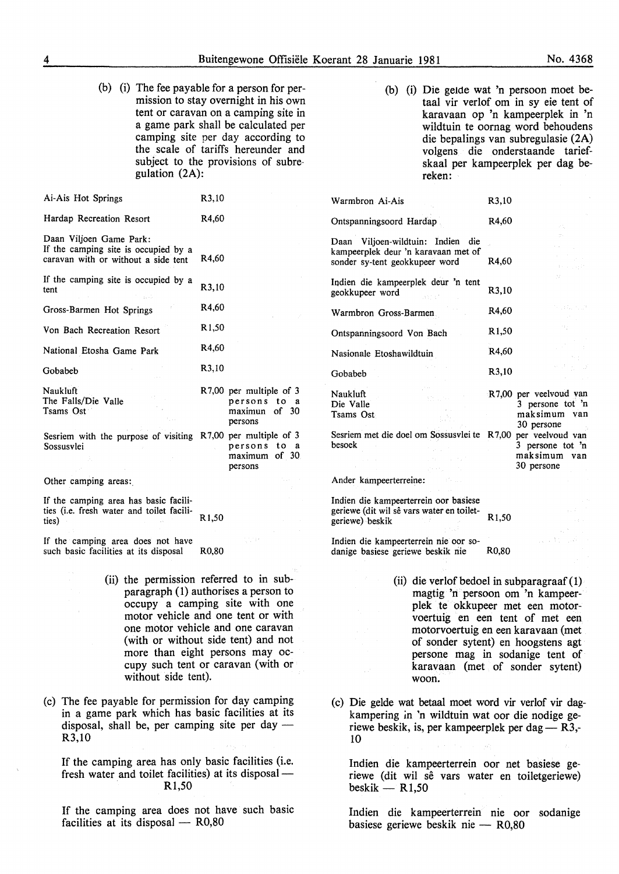(b) (i) The fee payable for a person for permission to stay overnight in his own tent or caravan on a camping site in a game park shall be calculated per camping site per day according to the scale of tariffs hereunder and subject to the provisions of subre gulation (2A):

| Ai-Ais Hot Springs                                                                                     | R <sub>3</sub> ,10 |                                                                     |
|--------------------------------------------------------------------------------------------------------|--------------------|---------------------------------------------------------------------|
| Hardap Recreation Resort                                                                               | R4.60              |                                                                     |
| Daan Viljoen Game Park:<br>If the camping site is occupied by a<br>caravan with or without a side tent | R4,60              |                                                                     |
| If the camping site is occupied by a<br>tent                                                           | R3,10              |                                                                     |
| Gross-Barmen Hot Springs                                                                               | R4,60              |                                                                     |
| Von Bach Recreation Resort                                                                             | R <sub>1</sub> ,50 |                                                                     |
| National Etosha Game Park                                                                              | R4,60              |                                                                     |
| Gobabeb                                                                                                | R3,10              |                                                                     |
| Naukluft<br>The Falls/Die Valle<br>Tsams Ost                                                           |                    | R7,00 per multiple of 3<br>persons to a<br>maximun of 30<br>persons |
| Sesriem with the purpose of visiting R7,00 per multiple of 3<br>Sossusvlei                             |                    | persons to a<br>maximum of 30<br>persons                            |
| Other camping areas:                                                                                   |                    |                                                                     |
| If the camping area has hasic facili-                                                                  |                    |                                                                     |

If the camping area has basic facilities (i.e. fresh water and toilet facilities) R1,50

If the camping area does not have such basic facilities at its disposal R0,80

- (ii) the permission referred to in subparagraph (1) authorises a person to occupy a camping site with one motor vehicle and one tent or with one motor vehicle and one caravan (with or without side tent) and not more than eight persons may occupy such tent or caravan (with or without side tent).
- (c) The fee payable for permission for day camping in a game park which has basic facilities at its disposal, shall be, per camping site per day  $-$ R3,10

If the camping area has only basic facilities (i.e. fresh water and toilet facilities) at its disposal -R1,50

If the camping area does not have such basic facilities at its disposal  $-$  R0,80

(b) (i) Die gelde wat 'n persoon moet betaal vir verlof om in sy eie tent of karavaan op 'n kampeerplek in 'n wildtuin te oornag word behoudens die bepalings van subregulasie (2A) volgens die onderstaande tariefskaal per kampeerplek per dag bereken:

| Warmbron Ai-Ais                                                                                            | R3,10                                                                                                                    |          |
|------------------------------------------------------------------------------------------------------------|--------------------------------------------------------------------------------------------------------------------------|----------|
| Ontspanningsoord Hardap                                                                                    | R4,60<br>иt.                                                                                                             |          |
| Daan Viljoen-wildtuin: Indien die<br>kampeerplek deur 'n karavaan met of<br>sonder sy-tent geokkupeer word | $2 + 1$<br>R4,60                                                                                                         |          |
| Indien die kampeerplek deur 'n tent<br>geokkupeer word                                                     | 22. .<br>R3,10                                                                                                           |          |
| Warmbron Gross-Barmen                                                                                      | R4,60                                                                                                                    | ついばい トラク |
| Ontspanningsoord Von Bach                                                                                  | R <sub>1,50</sub>                                                                                                        |          |
| Nasionale Etoshawildtuin                                                                                   | R4.60                                                                                                                    |          |
| Gobabeb                                                                                                    | R3,10                                                                                                                    |          |
| Naukluft<br>305.000<br>Die Valle<br>Tsams Ost<br>Sesriem met die doel om Sossusvlei te<br>besoek           | R7,00 per veelvoud van<br>3 persone tot $n$<br>maksimum van<br>30 persone<br>R7,00 per veelvoud van<br>3 persone tot $n$ |          |
| Ander kompoenterreiner                                                                                     | maksimum van<br>30 persone                                                                                               |          |

Ander kampeerterreine:

Indien die kampeerterrein oor basiese geriewe (dit wil sê vars water en toiletgeriewe) beskik Rl,50

Indien die kampeerterrein nie oor sodanige basiese geriewe beskik nie R0,80

- (ii) die verlof bedoel in subparagraaf ( 1) magtig 'n persoon om 'n kampeerplek te okkupeer met een motorvoertuig en een tent of met een motorvoertuig en een karavaan (met of sonder sytent) en hoogstens agt persone mag in sodanige tent of karavaan (met of sonder sytent) woon.
- (c) Die gelde wat betaal moet word vir verlof vir dagkampering in 'n wildtuin wat oor die nodige geriewe beskik, is, per kampeerplek per dag —  $R3$ ,-10

Indien die kampeerterrein oor net basiese geriewe (dit wil sê vars water en toiletgeriewe) beskik  $-$  R1,50

Indien die kampeerterrein nie oor sodanige basiese geriewe beskik nie - R0,80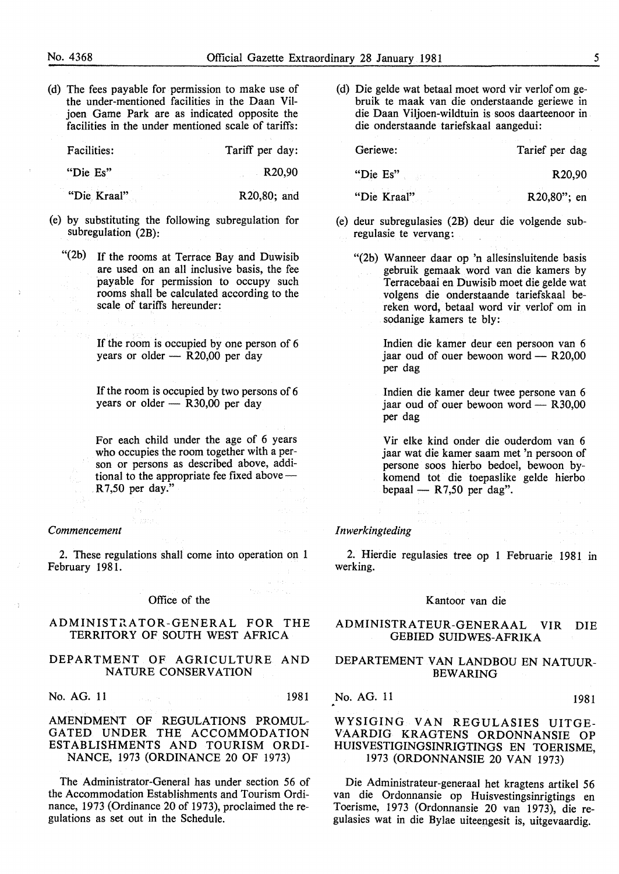(d) The fees payable for permission to make use of the under-mentioned facilities in the Daan Viljoen Game Park are as indicated opposite the facilities in the under mentioned scale of tariffs:

Facilities: Tariff per day:

"Die Es" R20,90

"Die Kraal" R20,80; and

- (e) by substituting the following subregulation for subregulation (2B):
	- "(2b) If the rooms at Terrace Bay and Duwisib are used on an all inclusive basis, the fee payable for permission to occupy such rooms shall be calculated according to the scale of tariffs hereunder:

If the room is occupied by one person of 6 years or older  $-$  R20,00 per day

If the room is occupied by two persons of 6 years or older  $-$  R30,00 per day

For each child under the age of 6 years who occupies the room together with a person or persons as described above, additional to the appropriate fee fixed above — R 7,50 per day."

#### *Commencement*

2. These regulations shall come into operation on 1 February 1981.

#### Office of the

#### ADMINISTRATOR-GENERAL FOR THE TERRITORY OF SOUTH WEST AFRICA

#### DEPARTMENT OF AGRICULTURE AND NATURE CONSERVATION

No. AG. 11 **1981** 

#### AMENDMENT OF REGULATIONS PROMUL-GATED UNDER THE ACCOMMODATION ESTABLISHMENTS AND TOURISM ORDI-NANCE, 1973 (ORDINANCE 20 OF 1973)

The Administrator-General has under section 56 of the Accommodation Establishments and Tourism Ordinance, 1973 (Ordinance 20 of 1973), proclaimed the regulations as set out in the Schedule.

(d) Die gelde wat betaal moet word vir verlof om gebruik te maak van die onderstaande geriewe in die Daan Viljoen-wildtuin is soos daarteenoor in die onderstaande tariefskaal aangedui:

Geriewe: Tarief per dag "Die Es" R20,90 "Die Kraal" R20,80"; en

- (e) deur subregulasies (2B) deur die volgende subregulasie te vervang:
	- "(2b) Wanneer daar op 'n allesinsluitende basis gebruik gemaak word van die kamers by Terracebaai en Duwisib moet die gelde wat volgens die onderstaande tariefskaal bereken word, betaal word vir verlof om in sodanige kamers te bly:

Indien die kamer deur een persoon van 6 jaar oud of ouer bewoon word  $-$  R20,00 per dag

Indien die kamer deur twee persone van 6 jaar oud of ouer bewoon word  $-$  R30,00 per dag

Vir elke kind onder die ouderdom van 6 jaar wat die kamer saam met 'n persoon of persone soos hierbo bedoel, bewoon bykomend tot die toepaslike gelde hierbo bepaal  $-$  R7,50 per dag".

#### *I nwerkingteding*

2. Hierdie regulasies tree op 1 Februarie 1981 in werking.

#### Kantoor van die

#### ADMINISTRA TEUR-GENERAAL VIR DIE GEBIED SUIDWES-AFRIKA

#### DEPARTEMENT VAN LANDBOU EN NATUUR-BEWARING

No. AG. 11 1981

#### WYSIGING VAN REGULASIES UITGE-VAARDIG KRAGTENS ORDONNANSIE OP HUISVESTIGINGSINRIGTINGS EN TOERISME, 1973 (ORDONNANSIE 20 VAN 1973)

Die Administrateur-generaal het kragtens artikel 56 van die Ordonnansie op Huisvestingsinrigtings en Toerisme, 1973 (Ordonnansie 20 van 1973), die regulasies wat in die Bylae uiteengesit is, uitgevaardig.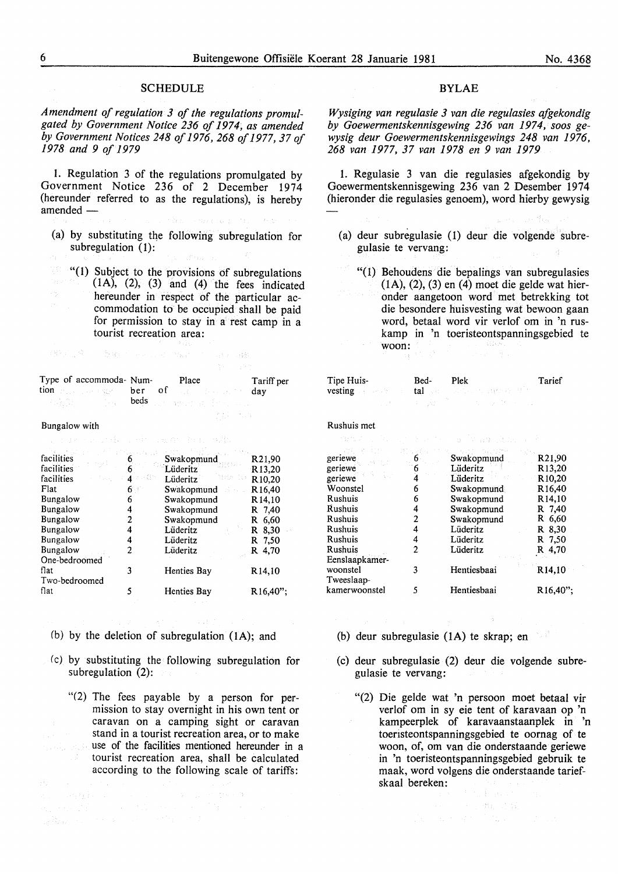#### **SCHEDULE**

*Amendment of regulation 3 of the regulations promulgated by Government Notice 236 of 1974, as amended by Government Notices 248 of 1976, 268 of 1977,37 of 1978 and 9 of 1979* 

1. Regulation 3 of the regulations promulgated by Government Notice 236 of 2 December 1974 (hereunder referred to as the regulations), is hereby amended -

(a) by substituting the following subregulation for subregulation (1):

"(I) Subject to the provisions of subregulations  $(1A)$ ,  $(2)$ ,  $(3)$  and  $(4)$  the fees indicated hereunder in respect of the particular accommodation to be occupied shall be paid for permission to stay in a rest camp in a tourist recreation area:

|                                                         |       | 그 회사는 사람들은 어떻게? |
|---------------------------------------------------------|-------|-----------------|
| Type of accommoda- Num-                                 | Place | Tariff per      |
| tion because the second term of the contract of the day |       |                 |
|                                                         |       |                 |

gat sam

「Michigan → Saper Resource Mark → Sale Balk

#### Bungalow with

and the second books of the second second second second second second second second second second second second

| facilities      |   | Swakopmund  | R <sub>21.90</sub>  |
|-----------------|---|-------------|---------------------|
| facilities      |   | Lüderitz    | R <sub>13</sub> ,20 |
| facilities      | 4 | Lüderitz    | R <sub>10</sub> ,20 |
| Flat            |   | Swakopmund  | R <sub>16</sub> ,40 |
| Bungalow        | 6 | Swakopmund  | R <sub>14</sub> ,10 |
| Bungalow        | 4 | Swakopmund  | R 7,40              |
| <b>Bungalow</b> | 2 | Swakopmund  | R 6,60              |
| Bungalow        |   | Lüderitz    | $R_{0.30}$          |
| Bungalow        | 4 | Lüderitz    | R 7,50              |
| <b>Bungalow</b> | 2 | Lüderitz    | R 4.70              |
| One-bedroomed   |   |             |                     |
| flat            | 3 | Henties Bay | R14,10              |
| Two-bedroomed   |   |             |                     |
| flat            | 5 | Henties Bay | $R16.40$ ";         |
|                 |   |             |                     |

(b) by the deletion of subregulation (IA); and

an Samara (1993)<br>1992 - Paul II (1993), papa (1993), papa (1993)<br>1993 - John Louis (1993), papa (1993), papa (1993)

- (c) by substituting the following subregulation for subregulation (2):
- *"(2)* The fees payable by a person for permission to stay overnight in his own tent or caravan on a camping sight or caravan stand in a tourist recreation area, or to make use of the facilities mentioned hereunder in a tourist recreation area, shall be calculated according to the following scale of tariffs:

#### BYLAE

*Wysiging van regulasie 3 van die regulasies afgekondig by Goewermentskennisgewing 236 van 1974, soos gewysig deur Goewermentskennisgewings 248 van 1976, 268 van 1977, 37 van 1978 en 9 van 1979* 

1. Regulasie 3 van die regulasies afgekondig by Goewermentskennisgewing 236 van 2 Desember 1974 (hieronder die regulasies genoem), word hierby gewysig

- (a) deur subregulasie (1) deur die volgende subregulasie te vervang:
	- "(1) Behoudens die bepalings van subregulasies (IA), (2), (3) en (4) moet die gelde wat hieronder aangetoon word met betrekking tot die besondere huisvesting wat bewoon gaan word, betaal word vir verlof om in 'n ruskamp in 'n toeristeontspanningsgebied te woon:

|                                                          | Plek                                                                                                                                          | Tarief                                                                                                                                                                      |
|----------------------------------------------------------|-----------------------------------------------------------------------------------------------------------------------------------------------|-----------------------------------------------------------------------------------------------------------------------------------------------------------------------------|
|                                                          |                                                                                                                                               |                                                                                                                                                                             |
| おれず こうねつごう とい                                            |                                                                                                                                               |                                                                                                                                                                             |
| $\sim$ 6 $\cdot$<br>6<br>6<br>4<br>2<br>4<br>4<br>2<br>3 | Swakopmund<br>Lüderitz<br>Lüderitz<br>Swakopmund<br>Swakopmund<br>Swakopmund<br>Swakopmund<br>Lüderitz<br>Lüderitz<br>Lüderitz<br>Hentiesbaai | R21,90<br>R <sub>13</sub> ,20<br>R <sub>10</sub> ,20<br>R <sub>16</sub> ,40<br>R <sub>14</sub> ,10<br>R 7.40<br>R 6,60<br>R 8,30<br>R 7,50<br>R 4,70<br>R <sub>14</sub> ,10 |
| 5                                                        | Hentiesbaai                                                                                                                                   | R <sub>16</sub> ,40";                                                                                                                                                       |
|                                                          |                                                                                                                                               | Bed-<br>vesting a service of tal social states to discribe the<br>그 나는 그 그 나라 사람<br>アーバー カードランダインド しょう<br>in a stable that the                                              |

- (b) deur subregulasie (lA) te skrap; en
- (c) deur subregulasie (2) deur die volgende subregulasie te vervang:
	- "(2) Die gelde wat 'n persoon moet betaal vir verlof om in sy eie tent of karavaan op 'n kampeerplek of karavaanstaanplek in 'n toeristeontspanningsgebied te oornag of te woon, of, om van die onderstaande geriewe in 'n toeristeontspanningsgebied gebruik te maak, word volgens die onderstaande tariefskaal bereken:

一个小鱼的家。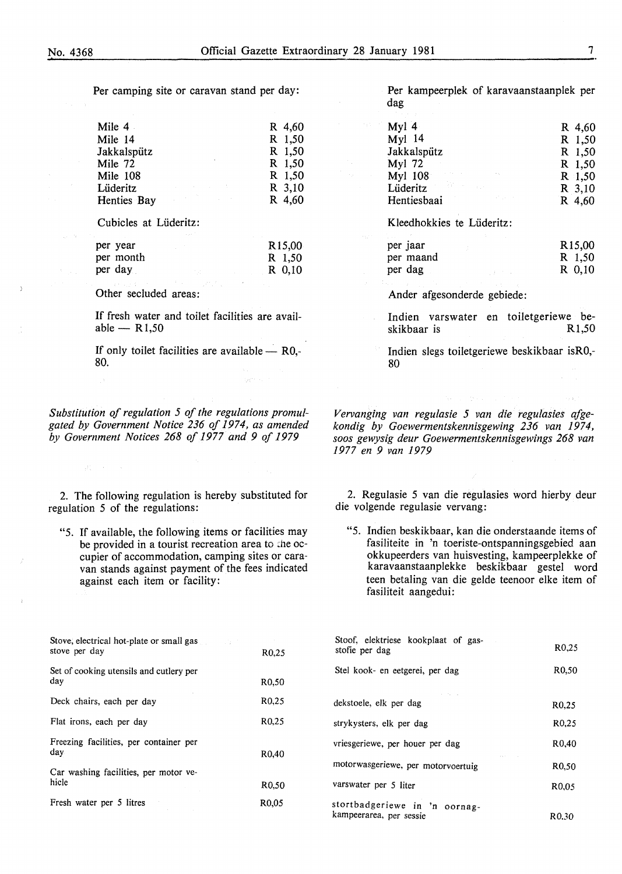Per camping site or caravan stand per day:

| Mile 4                                                                                                                                                                                                                                        | R 4,60 |
|-----------------------------------------------------------------------------------------------------------------------------------------------------------------------------------------------------------------------------------------------|--------|
| Mile 14                                                                                                                                                                                                                                       | R 1,50 |
| Jakkalspütz                                                                                                                                                                                                                                   | R 1,50 |
| Mile 72                                                                                                                                                                                                                                       | R 1.50 |
| Mile 108                                                                                                                                                                                                                                      | R 1,50 |
| Lüderitz<br>the company of the company of the com-                                                                                                                                                                                            | R 3,10 |
| a de la construcción de la construcción de la construcción de la construcción de la construcción de la construcción de la construcción de la construcción de la construcción de la construcción de la construcción de la const<br>Henties Bay | R 4,60 |

Cubicles at Liideritz:

| per year  | R <sub>15</sub> ,00 |
|-----------|---------------------|
| per month | R 1,50              |
| per day   | R 0.10              |

Other secluded areas:

 $\label{eq:2.1} \mathbb{E}_A \mathcal{L}_A^* = \mathbb{E} \left[ \mathcal{L}_A \right] \mathbb{E}_A \left[ \mathcal{L}_A \right] \mathbb{E}_A^* \mathbb{E}_A^* \mathbb{E}_A^* \mathbb{E}_A^* \mathbb{E}_A^* \mathbb{E}_A^* \mathbb{E}_A^* \mathbb{E}_A^* \mathbb{E}_A^* \mathbb{E}_A^* \mathbb{E}_A^* \mathbb{E}_A^* \mathbb{E}_A^* \mathbb{E}_A^* \mathbb{E}_A^* \mathbb{E}_A^* \mathbb{E}_A^* \math$ 

If fresh water and toilet facilities are available  $-$  R1,50

If only toilet facilities are available  $-$  R0,-80.

*Substitution of regulation 5 of the regulations promulgated by Government Notice 236 of 1974, as amended by Government Notices 268 of 1977 and 9 of 1979* 

2. The following regulation is hereby substituted for regulation 5 of the regulations:

"5. If available, the following items or facilities may be provided in a tourist recreation area to the occupier of accommodation, camping sites or caravan stands against payment of the fees indicated against each item or facility:

Per kampeerplek of karavaanstaanplek per dag

| Myl $4$                                                                                                        |                                   | R 4,60   |
|----------------------------------------------------------------------------------------------------------------|-----------------------------------|----------|
| Myl 14                                                                                                         |                                   | R 1,50   |
| Jakkalspütz                                                                                                    |                                   | R 1,50   |
| Myl 72                                                                                                         |                                   | R 1,50   |
| Myl $108$ and $\sim$ 100 $\sim$ 100 $\sim$                                                                     |                                   | R 1.50   |
| Lüderitz de la provincia de la provincia de la provincia de la provincia de la provincia de la provincia de la |                                   | R 3,10   |
| Hentiesbaai                                                                                                    | <b>Controlled Advised Service</b> | $R$ 4,60 |

Kleedhokkies te Liideritz:

| per jaar  |  |  | R <sub>15</sub> ,00 |
|-----------|--|--|---------------------|
| per maand |  |  | R 1,50              |
| per dag   |  |  | R 0.10              |

Ander afgesonderde gebiede:

Indien varswater en toiletgeriewe beskikbaar is R1,50

Indien slegs toiletgeriewe beskikbaar isR0,- 80

*Vervanging van regulasie 5 van die regulasies afgekondig by Goewermentskennisgewing 236 van 1974, soos gewysig deur Goewermentskennisgewings 268 van 1977 en 9 van 1979* 

2. Regulasie 5 van die regulasies word hierby deur die volgende regulasie vervang:

"5. Indien beskikbaar, kan die onderstaande items of fasiliteite in 'n toeriste-ontspanningsgebied aan okkupeerders van huisvesting, kampeerplekke of karavaanstaanplekke beskikbaar gestel word teen betaling van die gelde teenoor elke item of fasiliteit aangedui:

| Stove, electrical hot-plate or small gas<br>stove per day | R <sub>0</sub> .25 |
|-----------------------------------------------------------|--------------------|
| Set of cooking utensils and cutlery per<br>day            | R0.50              |
| Deck chairs, each per day                                 | R <sub>0</sub> ,25 |
| Flat irons, each per day                                  | R <sub>0</sub> .25 |
| Freezing facilities, per container per<br>day             | R <sub>0</sub> .40 |
| Car washing facilities, per motor ve-<br>hicle            | R0.50              |
| Fresh water per 5 litres                                  | R0.05              |

| Stoof, elektriese kookplaat of gas-<br>stofie per dag    | R0.25              |
|----------------------------------------------------------|--------------------|
| Stel kook- en eetgerei, per dag                          | R0.50              |
|                                                          |                    |
| dekstoele, elk per dag                                   | R0.25              |
| strykysters, elk per dag                                 | R <sub>0</sub> ,25 |
| vriesgeriewe, per houer per dag                          | R <sub>0</sub> .40 |
| motorwasgeriewe, per motorvoertuig                       | R0.50              |
| varswater per 5 liter                                    | R <sub>0</sub> .05 |
| stortbadgeriewe in 'n oornag-<br>kampeerarea, per sessie | R0.30              |